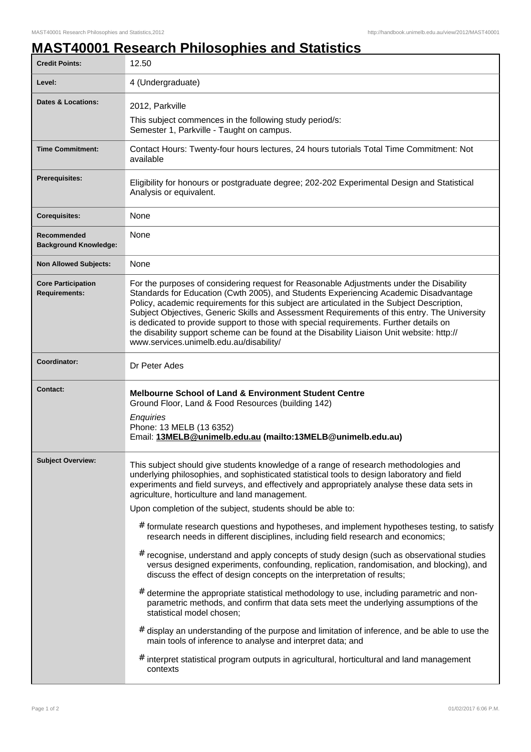## **MAST40001 Research Philosophies and Statistics**

| 12.50                                                                                                                                                                                                                                                                                                                                                                                                                                                                                                                                                                                                                                                                                                                                                                                                                                                                                                                                                                                                                                                                                                                                                                                                                                                                                                                                                 |
|-------------------------------------------------------------------------------------------------------------------------------------------------------------------------------------------------------------------------------------------------------------------------------------------------------------------------------------------------------------------------------------------------------------------------------------------------------------------------------------------------------------------------------------------------------------------------------------------------------------------------------------------------------------------------------------------------------------------------------------------------------------------------------------------------------------------------------------------------------------------------------------------------------------------------------------------------------------------------------------------------------------------------------------------------------------------------------------------------------------------------------------------------------------------------------------------------------------------------------------------------------------------------------------------------------------------------------------------------------|
| 4 (Undergraduate)                                                                                                                                                                                                                                                                                                                                                                                                                                                                                                                                                                                                                                                                                                                                                                                                                                                                                                                                                                                                                                                                                                                                                                                                                                                                                                                                     |
| 2012, Parkville<br>This subject commences in the following study period/s:<br>Semester 1, Parkville - Taught on campus.                                                                                                                                                                                                                                                                                                                                                                                                                                                                                                                                                                                                                                                                                                                                                                                                                                                                                                                                                                                                                                                                                                                                                                                                                               |
| Contact Hours: Twenty-four hours lectures, 24 hours tutorials Total Time Commitment: Not<br>available                                                                                                                                                                                                                                                                                                                                                                                                                                                                                                                                                                                                                                                                                                                                                                                                                                                                                                                                                                                                                                                                                                                                                                                                                                                 |
| Eligibility for honours or postgraduate degree; 202-202 Experimental Design and Statistical<br>Analysis or equivalent.                                                                                                                                                                                                                                                                                                                                                                                                                                                                                                                                                                                                                                                                                                                                                                                                                                                                                                                                                                                                                                                                                                                                                                                                                                |
| None                                                                                                                                                                                                                                                                                                                                                                                                                                                                                                                                                                                                                                                                                                                                                                                                                                                                                                                                                                                                                                                                                                                                                                                                                                                                                                                                                  |
| None                                                                                                                                                                                                                                                                                                                                                                                                                                                                                                                                                                                                                                                                                                                                                                                                                                                                                                                                                                                                                                                                                                                                                                                                                                                                                                                                                  |
| None                                                                                                                                                                                                                                                                                                                                                                                                                                                                                                                                                                                                                                                                                                                                                                                                                                                                                                                                                                                                                                                                                                                                                                                                                                                                                                                                                  |
| For the purposes of considering request for Reasonable Adjustments under the Disability<br>Standards for Education (Cwth 2005), and Students Experiencing Academic Disadvantage<br>Policy, academic requirements for this subject are articulated in the Subject Description,<br>Subject Objectives, Generic Skills and Assessment Requirements of this entry. The University<br>is dedicated to provide support to those with special requirements. Further details on<br>the disability support scheme can be found at the Disability Liaison Unit website: http://<br>www.services.unimelb.edu.au/disability/                                                                                                                                                                                                                                                                                                                                                                                                                                                                                                                                                                                                                                                                                                                                      |
| Dr Peter Ades                                                                                                                                                                                                                                                                                                                                                                                                                                                                                                                                                                                                                                                                                                                                                                                                                                                                                                                                                                                                                                                                                                                                                                                                                                                                                                                                         |
| <b>Melbourne School of Land &amp; Environment Student Centre</b><br>Ground Floor, Land & Food Resources (building 142)<br>Enquiries<br>Phone: 13 MELB (13 6352)<br>Email: 13MELB@unimelb.edu.au (mailto:13MELB@unimelb.edu.au)                                                                                                                                                                                                                                                                                                                                                                                                                                                                                                                                                                                                                                                                                                                                                                                                                                                                                                                                                                                                                                                                                                                        |
| This subject should give students knowledge of a range of research methodologies and<br>underlying philosophies, and sophisticated statistical tools to design laboratory and field<br>experiments and field surveys, and effectively and appropriately analyse these data sets in<br>agriculture, horticulture and land management.<br>Upon completion of the subject, students should be able to:<br>$#$ formulate research questions and hypotheses, and implement hypotheses testing, to satisfy<br>research needs in different disciplines, including field research and economics;<br># recognise, understand and apply concepts of study design (such as observational studies<br>versus designed experiments, confounding, replication, randomisation, and blocking), and<br>discuss the effect of design concepts on the interpretation of results;<br>#<br>determine the appropriate statistical methodology to use, including parametric and non-<br>parametric methods, and confirm that data sets meet the underlying assumptions of the<br>statistical model chosen;<br>display an understanding of the purpose and limitation of inference, and be able to use the<br>#<br>main tools of inference to analyse and interpret data; and<br>interpret statistical program outputs in agricultural, horticultural and land management<br># |
| contexts                                                                                                                                                                                                                                                                                                                                                                                                                                                                                                                                                                                                                                                                                                                                                                                                                                                                                                                                                                                                                                                                                                                                                                                                                                                                                                                                              |
|                                                                                                                                                                                                                                                                                                                                                                                                                                                                                                                                                                                                                                                                                                                                                                                                                                                                                                                                                                                                                                                                                                                                                                                                                                                                                                                                                       |